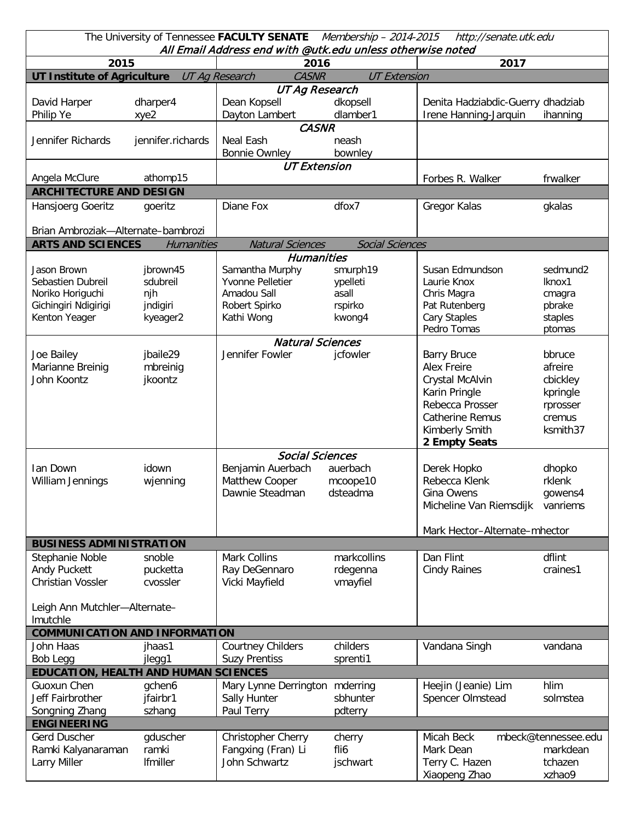| The University of Tennessee FACULTY SENATE Membership - 2014-2015<br>http://senate.utk.edu<br>All Email Address end with @utk.edu unless otherwise noted |                   |                                                       |                        |                                   |                      |  |  |  |  |  |
|----------------------------------------------------------------------------------------------------------------------------------------------------------|-------------------|-------------------------------------------------------|------------------------|-----------------------------------|----------------------|--|--|--|--|--|
| 2015                                                                                                                                                     |                   | 2016                                                  |                        | 2017                              |                      |  |  |  |  |  |
| <b>UT Institute of Agriculture</b>                                                                                                                       |                   | UT Ag Research<br><b>CASNR</b><br><b>UT Extension</b> |                        |                                   |                      |  |  |  |  |  |
|                                                                                                                                                          |                   | <b>UT Ag Research</b>                                 |                        |                                   |                      |  |  |  |  |  |
| David Harper                                                                                                                                             | dharper4          | Dean Kopsell                                          | dkopsell               | Denita Hadziabdic-Guerry dhadziab |                      |  |  |  |  |  |
| Philip Ye                                                                                                                                                | xye2              | Dayton Lambert                                        | dlamber1               | Irene Hanning-Jarquin             | ihanning             |  |  |  |  |  |
| <b>CASNR</b>                                                                                                                                             |                   |                                                       |                        |                                   |                      |  |  |  |  |  |
| Jennifer Richards                                                                                                                                        | jennifer.richards | Neal Eash                                             | neash                  |                                   |                      |  |  |  |  |  |
|                                                                                                                                                          |                   | <b>Bonnie Ownley</b>                                  | bownley                |                                   |                      |  |  |  |  |  |
|                                                                                                                                                          |                   | <b>UT Extension</b>                                   |                        |                                   |                      |  |  |  |  |  |
| Angela McClure                                                                                                                                           | athomp15          |                                                       |                        | Forbes R. Walker                  | frwalker             |  |  |  |  |  |
| <b>ARCHITECTURE AND DESIGN</b>                                                                                                                           |                   |                                                       |                        |                                   |                      |  |  |  |  |  |
| Hansjoerg Goeritz                                                                                                                                        | goeritz           | Diane Fox                                             | dfox7                  | Gregor Kalas                      | gkalas               |  |  |  |  |  |
|                                                                                                                                                          |                   |                                                       |                        |                                   |                      |  |  |  |  |  |
| Brian Ambroziak-Alternate-bambrozi                                                                                                                       |                   |                                                       |                        |                                   |                      |  |  |  |  |  |
| <b>ARTS AND SCIENCES</b>                                                                                                                                 | Humanities        | <b>Natural Sciences</b>                               | <b>Social Sciences</b> |                                   |                      |  |  |  |  |  |
|                                                                                                                                                          |                   | <b>Humanities</b>                                     |                        |                                   |                      |  |  |  |  |  |
| Jason Brown                                                                                                                                              | jbrown45          | Samantha Murphy                                       | smurph19               | Susan Edmundson                   | sedmund <sub>2</sub> |  |  |  |  |  |
| Sebastien Dubreil                                                                                                                                        | sdubreil          | Yvonne Pelletier                                      | ypelleti               | Laurie Knox                       | Iknox1               |  |  |  |  |  |
| Noriko Horiguchi                                                                                                                                         | njh               | Amadou Sall                                           | asall                  | Chris Magra                       | cmagra               |  |  |  |  |  |
| Gichingiri Ndigirigi                                                                                                                                     | jndigiri          | Robert Spirko                                         | rspirko                | Pat Rutenberg                     | pbrake               |  |  |  |  |  |
| Kenton Yeager                                                                                                                                            | kyeager2          | Kathi Wong                                            | kwong4                 | Cary Staples                      | staples              |  |  |  |  |  |
|                                                                                                                                                          |                   |                                                       |                        | Pedro Tomas                       | ptomas               |  |  |  |  |  |
|                                                                                                                                                          |                   | <b>Natural Sciences</b>                               |                        |                                   |                      |  |  |  |  |  |
| Joe Bailey                                                                                                                                               | jbaile29          | Jennifer Fowler                                       | jcfowler               | <b>Barry Bruce</b>                | bbruce               |  |  |  |  |  |
| Marianne Breinig                                                                                                                                         | mbreinig          |                                                       |                        | <b>Alex Freire</b>                | afreire              |  |  |  |  |  |
| John Koontz                                                                                                                                              | jkoontz           |                                                       |                        | Crystal McAlvin                   | cbickley             |  |  |  |  |  |
|                                                                                                                                                          |                   |                                                       |                        | Karin Pringle                     | kpringle             |  |  |  |  |  |
|                                                                                                                                                          |                   |                                                       |                        | Rebecca Prosser                   | rprosser             |  |  |  |  |  |
|                                                                                                                                                          |                   |                                                       |                        | Catherine Remus                   | cremus               |  |  |  |  |  |
|                                                                                                                                                          |                   |                                                       |                        | Kimberly Smith                    | ksmith37             |  |  |  |  |  |
|                                                                                                                                                          |                   |                                                       |                        | 2 Empty Seats                     |                      |  |  |  |  |  |
|                                                                                                                                                          |                   | <b>Social Sciences</b>                                |                        |                                   |                      |  |  |  |  |  |
| Ian Down                                                                                                                                                 | idown             | Benjamin Auerbach                                     | auerbach               | Derek Hopko                       | dhopko               |  |  |  |  |  |
| William Jennings                                                                                                                                         | wjenning          | Matthew Cooper                                        | mcoope10               | Rebecca Klenk                     | rklenk               |  |  |  |  |  |
|                                                                                                                                                          |                   | Dawnie Steadman                                       | dsteadma               | Gina Owens                        | gowens4              |  |  |  |  |  |
|                                                                                                                                                          |                   |                                                       |                        | Micheline Van Riemsdijk vanriems  |                      |  |  |  |  |  |
|                                                                                                                                                          |                   |                                                       |                        |                                   |                      |  |  |  |  |  |
|                                                                                                                                                          |                   |                                                       |                        | Mark Hector-Alternate-mhector     |                      |  |  |  |  |  |
| <b>BUSINESS ADMINISTRATION</b>                                                                                                                           |                   |                                                       |                        |                                   |                      |  |  |  |  |  |
| Stephanie Noble                                                                                                                                          | snoble            | <b>Mark Collins</b>                                   | markcollins            | Dan Flint                         | dflint               |  |  |  |  |  |
| Andy Puckett                                                                                                                                             | pucketta          | Ray DeGennaro                                         | rdegenna               | <b>Cindy Raines</b>               | craines1             |  |  |  |  |  |
| Christian Vossler                                                                                                                                        | cvossler          | Vicki Mayfield                                        | vmayfiel               |                                   |                      |  |  |  |  |  |
|                                                                                                                                                          |                   |                                                       |                        |                                   |                      |  |  |  |  |  |
| Leigh Ann Mutchler-Alternate-                                                                                                                            |                   |                                                       |                        |                                   |                      |  |  |  |  |  |
| Imutchle                                                                                                                                                 |                   |                                                       |                        |                                   |                      |  |  |  |  |  |
| <b>COMMUNICATION AND INFORMATION</b>                                                                                                                     |                   |                                                       |                        |                                   |                      |  |  |  |  |  |
| John Haas                                                                                                                                                | jhaas1            | <b>Courtney Childers</b>                              | childers               | Vandana Singh                     | vandana              |  |  |  |  |  |
| Bob Legg                                                                                                                                                 | jlegg1            | <b>Suzy Prentiss</b>                                  | sprenti1               |                                   |                      |  |  |  |  |  |
| <b>EDUCATION, HEALTH AND HUMAN SCIENCES</b>                                                                                                              |                   |                                                       |                        |                                   |                      |  |  |  |  |  |
| Guoxun Chen                                                                                                                                              | gchen6            | Mary Lynne Derrington                                 | mderring               | Heejin (Jeanie) Lim               | hlim                 |  |  |  |  |  |
| Jeff Fairbrother                                                                                                                                         | jfairbr1          | Sally Hunter                                          | sbhunter               | Spencer Olmstead                  | solmstea             |  |  |  |  |  |
| Songning Zhang                                                                                                                                           | szhang            | Paul Terry                                            | pdterry                |                                   |                      |  |  |  |  |  |
| <b>ENGINEERING</b>                                                                                                                                       |                   |                                                       |                        |                                   |                      |  |  |  |  |  |
| Gerd Duscher                                                                                                                                             | gduscher          | Christopher Cherry                                    | cherry                 | Micah Beck                        | mbeck@tennessee.edu  |  |  |  |  |  |
| Ramki Kalyanaraman                                                                                                                                       | ramki             | Fangxing (Fran) Li                                    | fli6                   | Mark Dean                         | markdean             |  |  |  |  |  |
| Larry Miller                                                                                                                                             | Ifmiller          | John Schwartz                                         | jschwart               | Terry C. Hazen                    | tchazen              |  |  |  |  |  |
|                                                                                                                                                          |                   |                                                       |                        | Xiaopeng Zhao                     | xzhao9               |  |  |  |  |  |